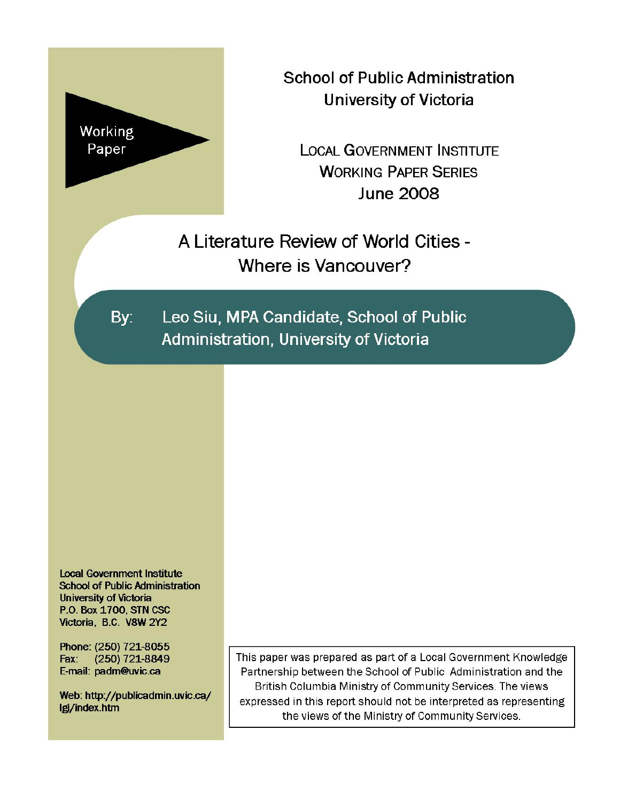

**School of Public Administration University of Victoria** 

**LOCAL GOVERNMENT INSTITUTE WORKING PAPER SERIES June 2008** 

A Literature Review of World Cities -Where is Vancouver?

By: Leo Siu, MPA Candidate, School of Public Administration, University of Victoria

**Local Government Institute School of Public Administration University of Victoria** P.O. Box 1700, STN CSC Victoria, B.C. V8W 2Y2

Phone: (250) 721-8055 Fax: (250) 721-8849 E-mail: padm@uvic.ca

Web: http://publicadmin.uvic.ca/ lgi/index.htm

This paper was prepared as part of a Local Government Knowledge Partnership between the School of Public Administration and the British Columbia Ministry of Community Services. The views expressed in this report should not be interpreted as representing the views of the Ministry of Community Services.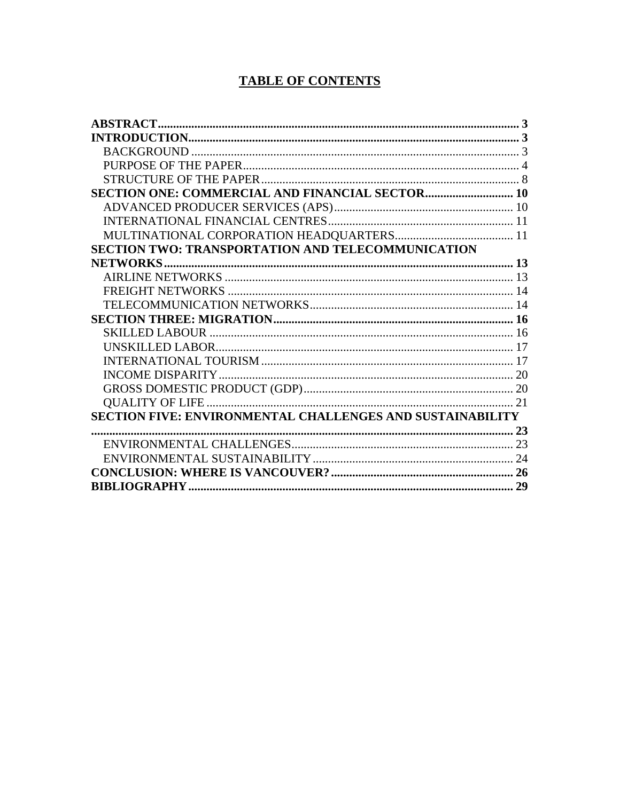# **TABLE OF CONTENTS**

| SECTION TWO: TRANSPORTATION AND TELECOMMUNICATION         |  |
|-----------------------------------------------------------|--|
|                                                           |  |
|                                                           |  |
|                                                           |  |
|                                                           |  |
|                                                           |  |
|                                                           |  |
|                                                           |  |
|                                                           |  |
|                                                           |  |
|                                                           |  |
|                                                           |  |
| SECTION FIVE: ENVIRONMENTAL CHALLENGES AND SUSTAINABILITY |  |
|                                                           |  |
|                                                           |  |
|                                                           |  |
|                                                           |  |
|                                                           |  |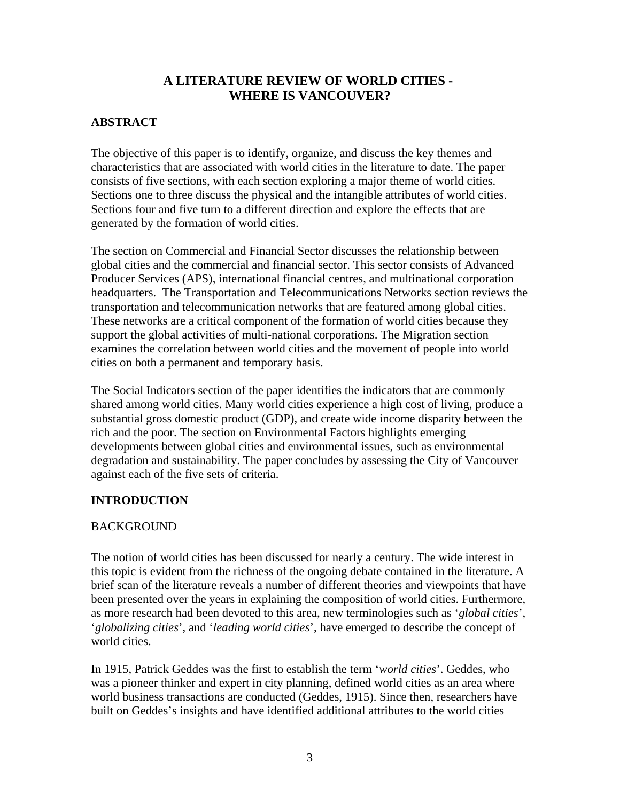# **A LITERATURE REVIEW OF WORLD CITIES - WHERE IS VANCOUVER?**

# <span id="page-2-0"></span>**ABSTRACT**

The objective of this paper is to identify, organize, and discuss the key themes and characteristics that are associated with world cities in the literature to date. The paper consists of five sections, with each section exploring a major theme of world cities. Sections one to three discuss the physical and the intangible attributes of world cities. Sections four and five turn to a different direction and explore the effects that are generated by the formation of world cities.

The section on Commercial and Financial Sector discusses the relationship between global cities and the commercial and financial sector. This sector consists of Advanced Producer Services (APS), international financial centres, and multinational corporation headquarters. The Transportation and Telecommunications Networks section reviews the transportation and telecommunication networks that are featured among global cities. These networks are a critical component of the formation of world cities because they support the global activities of multi-national corporations. The Migration section examines the correlation between world cities and the movement of people into world cities on both a permanent and temporary basis.

The Social Indicators section of the paper identifies the indicators that are commonly shared among world cities. Many world cities experience a high cost of living, produce a substantial gross domestic product (GDP), and create wide income disparity between the rich and the poor. The section on Environmental Factors highlights emerging developments between global cities and environmental issues, such as environmental degradation and sustainability. The paper concludes by assessing the City of Vancouver against each of the five sets of criteria.

# **INTRODUCTION**

## **BACKGROUND**

The notion of world cities has been discussed for nearly a century. The wide interest in this topic is evident from the richness of the ongoing debate contained in the literature. A brief scan of the literature reveals a number of different theories and viewpoints that have been presented over the years in explaining the composition of world cities. Furthermore, as more research had been devoted to this area, new terminologies such as '*global cities*', '*globalizing cities*', and '*leading world cities*', have emerged to describe the concept of world cities.

In 1915, Patrick Geddes was the first to establish the term '*world cities*'. Geddes, who was a pioneer thinker and expert in city planning, defined world cities as an area where world business transactions are conducted (Geddes, 1915). Since then, researchers have built on Geddes's insights and have identified additional attributes to the world cities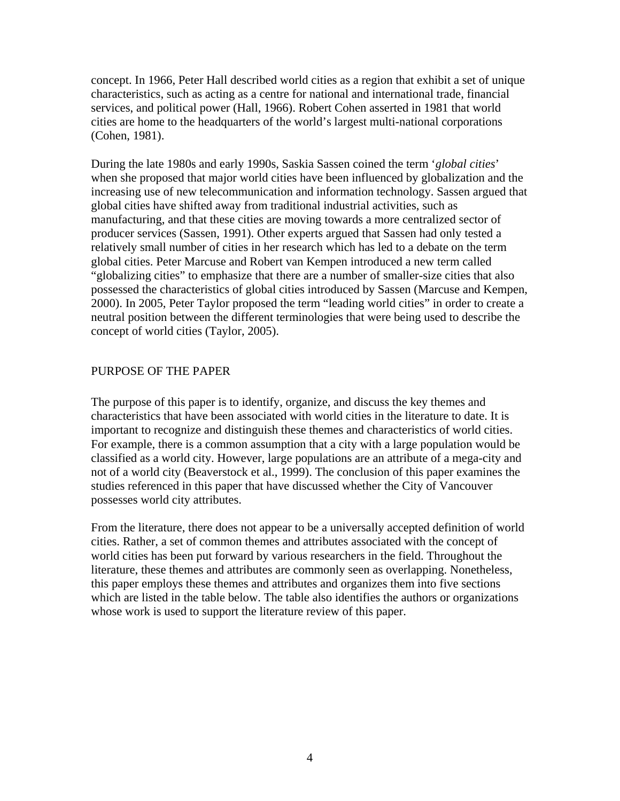<span id="page-3-0"></span>concept. In 1966, Peter Hall described world cities as a region that exhibit a set of unique characteristics, such as acting as a centre for national and international trade, financial services, and political power (Hall, 1966). Robert Cohen asserted in 1981 that world cities are home to the headquarters of the world's largest multi-national corporations (Cohen, 1981).

During the late 1980s and early 1990s, Saskia Sassen coined the term '*global cities*' when she proposed that major world cities have been influenced by globalization and the increasing use of new telecommunication and information technology. Sassen argued that global cities have shifted away from traditional industrial activities, such as manufacturing, and that these cities are moving towards a more centralized sector of producer services (Sassen, 1991). Other experts argued that Sassen had only tested a relatively small number of cities in her research which has led to a debate on the term global cities. Peter Marcuse and Robert van Kempen introduced a new term called "globalizing cities" to emphasize that there are a number of smaller-size cities that also possessed the characteristics of global cities introduced by Sassen (Marcuse and Kempen, 2000). In 2005, Peter Taylor proposed the term "leading world cities" in order to create a neutral position between the different terminologies that were being used to describe the concept of world cities (Taylor, 2005).

#### PURPOSE OF THE PAPER

The purpose of this paper is to identify, organize, and discuss the key themes and characteristics that have been associated with world cities in the literature to date. It is important to recognize and distinguish these themes and characteristics of world cities. For example, there is a common assumption that a city with a large population would be classified as a world city. However, large populations are an attribute of a mega-city and not of a world city (Beaverstock et al., 1999). The conclusion of this paper examines the studies referenced in this paper that have discussed whether the City of Vancouver possesses world city attributes.

From the literature, there does not appear to be a universally accepted definition of world cities. Rather, a set of common themes and attributes associated with the concept of world cities has been put forward by various researchers in the field. Throughout the literature, these themes and attributes are commonly seen as overlapping. Nonetheless, this paper employs these themes and attributes and organizes them into five sections which are listed in the table below. The table also identifies the authors or organizations whose work is used to support the literature review of this paper.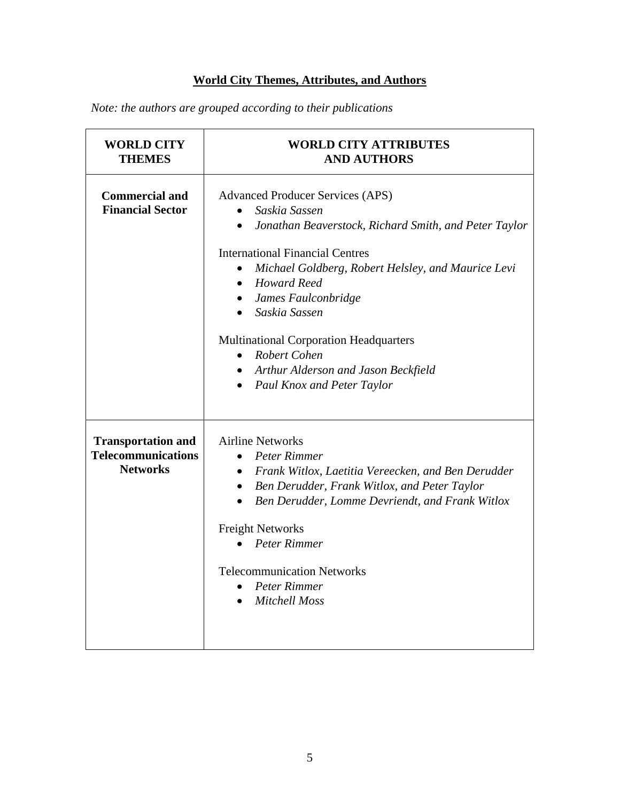# **World City Themes, Attributes, and Authors**

*Note: the authors are grouped according to their publications* 

| <b>WORLD CITY</b><br><b>THEMES</b>                                        | <b>WORLD CITY ATTRIBUTES</b><br><b>AND AUTHORS</b>                                                                                                                                                                                                                                                                                                                                                                                                                                                         |
|---------------------------------------------------------------------------|------------------------------------------------------------------------------------------------------------------------------------------------------------------------------------------------------------------------------------------------------------------------------------------------------------------------------------------------------------------------------------------------------------------------------------------------------------------------------------------------------------|
| <b>Commercial and</b><br><b>Financial Sector</b>                          | <b>Advanced Producer Services (APS)</b><br>Saskia Sassen<br>Jonathan Beaverstock, Richard Smith, and Peter Taylor<br>$\bullet$<br><b>International Financial Centres</b><br>Michael Goldberg, Robert Helsley, and Maurice Levi<br>$\bullet$<br><b>Howard Reed</b><br>$\bullet$<br>James Faulconbridge<br>$\bullet$<br>Saskia Sassen<br><b>Multinational Corporation Headquarters</b><br>Robert Cohen<br>$\bullet$<br>Arthur Alderson and Jason Beckfield<br>$\bullet$<br><b>Paul Knox and Peter Taylor</b> |
| <b>Transportation and</b><br><b>Telecommunications</b><br><b>Networks</b> | <b>Airline Networks</b><br>Peter Rimmer<br>Frank Witlox, Laetitia Vereecken, and Ben Derudder<br>$\bullet$<br>Ben Derudder, Frank Witlox, and Peter Taylor<br>$\bullet$<br>Ben Derudder, Lomme Devriendt, and Frank Witlox<br>$\bullet$<br><b>Freight Networks</b><br>Peter Rimmer<br><b>Telecommunication Networks</b><br>Peter Rimmer<br>$\bullet$<br><b>Mitchell Moss</b>                                                                                                                               |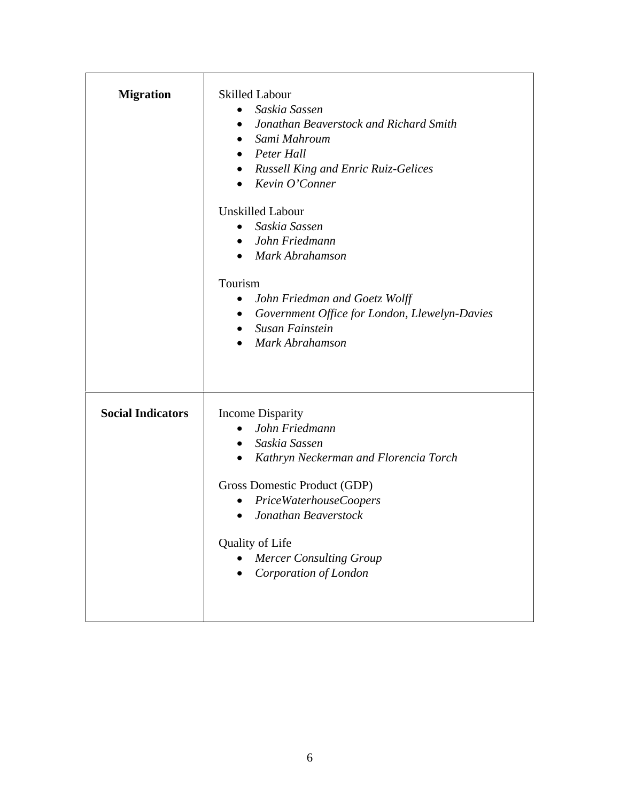| <b>Migration</b>         | <b>Skilled Labour</b><br>Saskia Sassen<br>$\bullet$<br>Jonathan Beaverstock and Richard Smith<br>$\bullet$<br>Sami Mahroum<br>$\bullet$<br>$\bullet$ Peter Hall<br>• Russell King and Enric Ruiz-Gelices<br>$\bullet$ Kevin O'Conner<br><b>Unskilled Labour</b><br>Saskia Sassen<br>$\bullet$<br>• John Friedmann<br>• Mark Abrahamson<br>Tourism<br>John Friedman and Goetz Wolff<br>$\bullet$<br>• Government Office for London, Llewelyn-Davies<br>Susan Fainstein<br>$\bullet$<br>Mark Abrahamson<br>$\bullet$ |
|--------------------------|--------------------------------------------------------------------------------------------------------------------------------------------------------------------------------------------------------------------------------------------------------------------------------------------------------------------------------------------------------------------------------------------------------------------------------------------------------------------------------------------------------------------|
| <b>Social Indicators</b> | <b>Income Disparity</b><br>John Friedmann<br>$\bullet$<br>Saskia Sassen<br>$\bullet$<br>Kathryn Neckerman and Florencia Torch<br>$\bullet$<br>Gross Domestic Product (GDP)<br>PriceWaterhouseCoopers<br>$\bullet$<br>Jonathan Beaverstock<br>$\bullet$<br>Quality of Life<br><b>Mercer Consulting Group</b><br>Corporation of London                                                                                                                                                                               |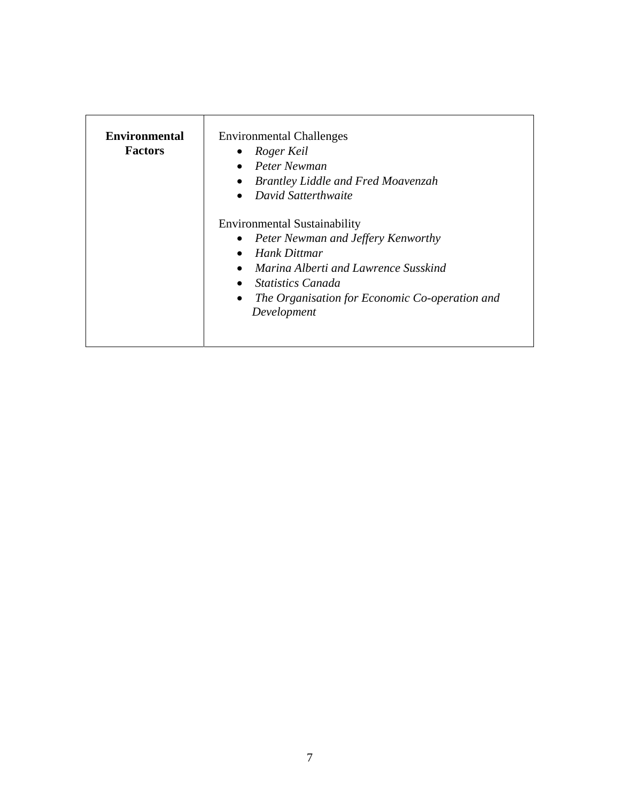| <b>Environmental</b><br><b>Factors</b> | <b>Environmental Challenges</b><br>Roger Keil<br>Peter Newman<br><b>Brantley Liddle and Fred Moavenzah</b><br>David Satterthwaite<br>$\bullet$                                                                                                                               |
|----------------------------------------|------------------------------------------------------------------------------------------------------------------------------------------------------------------------------------------------------------------------------------------------------------------------------|
|                                        | <b>Environmental Sustainability</b><br><b>Peter Newman and Jeffery Kenworthy</b><br>Hank Dittmar<br>$\bullet$<br>Marina Alberti and Lawrence Susskind<br>$\bullet$<br><i>Statistics Canada</i><br>The Organisation for Economic Co-operation and<br>$\bullet$<br>Development |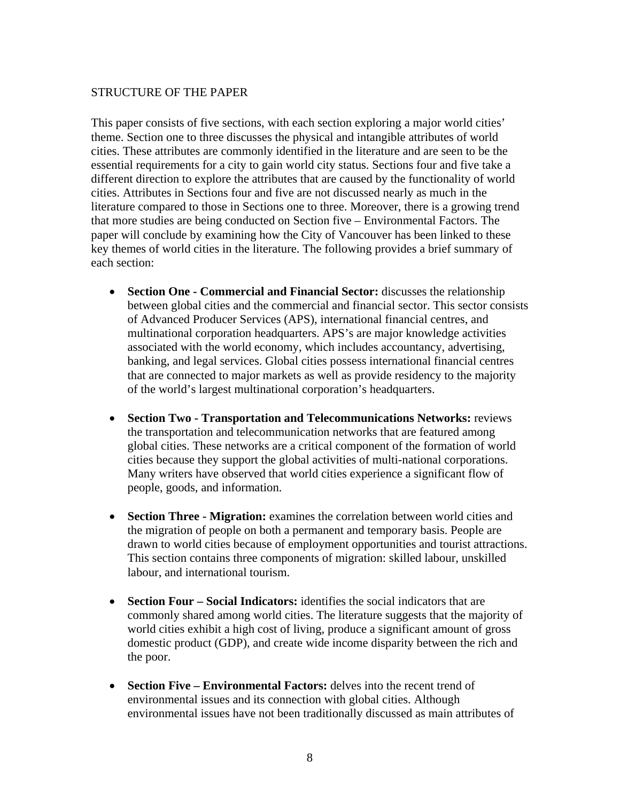#### <span id="page-7-0"></span>STRUCTURE OF THE PAPER

This paper consists of five sections, with each section exploring a major world cities' theme. Section one to three discusses the physical and intangible attributes of world cities. These attributes are commonly identified in the literature and are seen to be the essential requirements for a city to gain world city status. Sections four and five take a different direction to explore the attributes that are caused by the functionality of world cities. Attributes in Sections four and five are not discussed nearly as much in the literature compared to those in Sections one to three. Moreover, there is a growing trend that more studies are being conducted on Section five – Environmental Factors. The paper will conclude by examining how the City of Vancouver has been linked to these key themes of world cities in the literature. The following provides a brief summary of each section:

- **Section One Commercial and Financial Sector:** discusses the relationship between global cities and the commercial and financial sector. This sector consists of Advanced Producer Services (APS), international financial centres, and multinational corporation headquarters. APS's are major knowledge activities associated with the world economy, which includes accountancy, advertising, banking, and legal services. Global cities possess international financial centres that are connected to major markets as well as provide residency to the majority of the world's largest multinational corporation's headquarters.
- **Section Two Transportation and Telecommunications Networks:** reviews the transportation and telecommunication networks that are featured among global cities. These networks are a critical component of the formation of world cities because they support the global activities of multi-national corporations. Many writers have observed that world cities experience a significant flow of people, goods, and information.
- **Section Three Migration:** examines the correlation between world cities and the migration of people on both a permanent and temporary basis. People are drawn to world cities because of employment opportunities and tourist attractions. This section contains three components of migration: skilled labour, unskilled labour, and international tourism.
- **Section Four Social Indicators:** identifies the social indicators that are commonly shared among world cities. The literature suggests that the majority of world cities exhibit a high cost of living, produce a significant amount of gross domestic product (GDP), and create wide income disparity between the rich and the poor.
- **Section Five Environmental Factors:** delves into the recent trend of environmental issues and its connection with global cities. Although environmental issues have not been traditionally discussed as main attributes of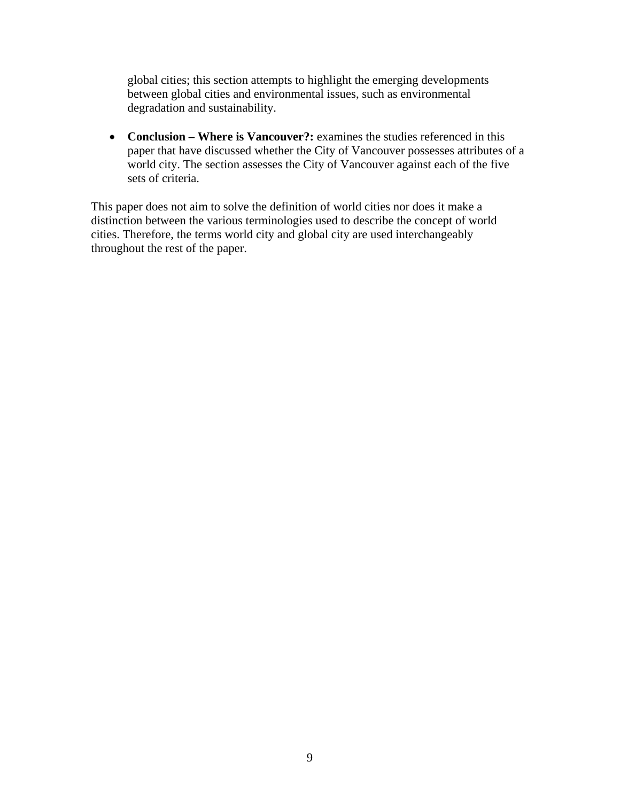global cities; this section attempts to highlight the emerging developments between global cities and environmental issues, such as environmental degradation and sustainability.

• **Conclusion – Where is Vancouver?:** examines the studies referenced in this paper that have discussed whether the City of Vancouver possesses attributes of a world city. The section assesses the City of Vancouver against each of the five sets of criteria.

This paper does not aim to solve the definition of world cities nor does it make a distinction between the various terminologies used to describe the concept of world cities. Therefore, the terms world city and global city are used interchangeably throughout the rest of the paper.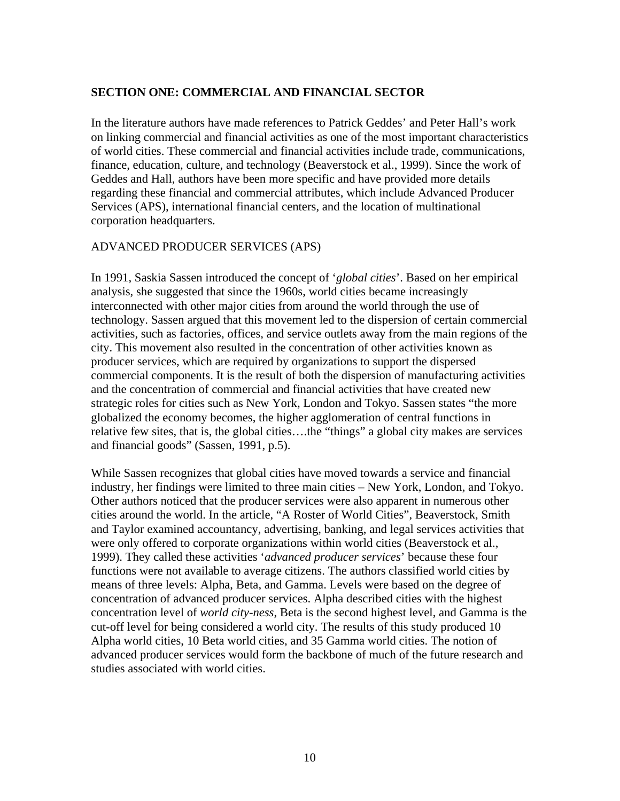## <span id="page-9-0"></span>**SECTION ONE: COMMERCIAL AND FINANCIAL SECTOR**

In the literature authors have made references to Patrick Geddes' and Peter Hall's work on linking commercial and financial activities as one of the most important characteristics of world cities. These commercial and financial activities include trade, communications, finance, education, culture, and technology (Beaverstock et al., 1999). Since the work of Geddes and Hall, authors have been more specific and have provided more details regarding these financial and commercial attributes, which include Advanced Producer Services (APS), international financial centers, and the location of multinational corporation headquarters.

#### ADVANCED PRODUCER SERVICES (APS)

In 1991, Saskia Sassen introduced the concept of '*global cities*'. Based on her empirical analysis, she suggested that since the 1960s, world cities became increasingly interconnected with other major cities from around the world through the use of technology. Sassen argued that this movement led to the dispersion of certain commercial activities, such as factories, offices, and service outlets away from the main regions of the city. This movement also resulted in the concentration of other activities known as producer services, which are required by organizations to support the dispersed commercial components. It is the result of both the dispersion of manufacturing activities and the concentration of commercial and financial activities that have created new strategic roles for cities such as New York, London and Tokyo. Sassen states "the more globalized the economy becomes, the higher agglomeration of central functions in relative few sites, that is, the global cities….the "things" a global city makes are services and financial goods" (Sassen, 1991, p.5).

While Sassen recognizes that global cities have moved towards a service and financial industry, her findings were limited to three main cities – New York, London, and Tokyo. Other authors noticed that the producer services were also apparent in numerous other cities around the world. In the article, "A Roster of World Cities", Beaverstock, Smith and Taylor examined accountancy, advertising, banking, and legal services activities that were only offered to corporate organizations within world cities (Beaverstock et al., 1999). They called these activities '*advanced producer services*' because these four functions were not available to average citizens. The authors classified world cities by means of three levels: Alpha, Beta, and Gamma. Levels were based on the degree of concentration of advanced producer services. Alpha described cities with the highest concentration level of *world city-ness*, Beta is the second highest level, and Gamma is the cut-off level for being considered a world city. The results of this study produced 10 Alpha world cities, 10 Beta world cities, and 35 Gamma world cities. The notion of advanced producer services would form the backbone of much of the future research and studies associated with world cities.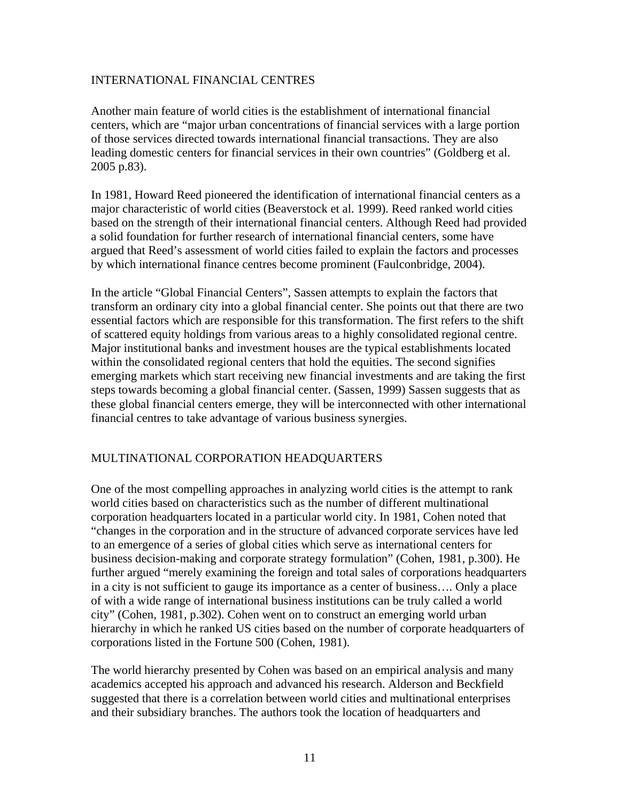## <span id="page-10-0"></span>INTERNATIONAL FINANCIAL CENTRES

Another main feature of world cities is the establishment of international financial centers, which are "major urban concentrations of financial services with a large portion of those services directed towards international financial transactions. They are also leading domestic centers for financial services in their own countries" (Goldberg et al. 2005 p.83).

In 1981, Howard Reed pioneered the identification of international financial centers as a major characteristic of world cities (Beaverstock et al. 1999). Reed ranked world cities based on the strength of their international financial centers. Although Reed had provided a solid foundation for further research of international financial centers, some have argued that Reed's assessment of world cities failed to explain the factors and processes by which international finance centres become prominent (Faulconbridge, 2004).

In the article "Global Financial Centers", Sassen attempts to explain the factors that transform an ordinary city into a global financial center. She points out that there are two essential factors which are responsible for this transformation. The first refers to the shift of scattered equity holdings from various areas to a highly consolidated regional centre. Major institutional banks and investment houses are the typical establishments located within the consolidated regional centers that hold the equities. The second signifies emerging markets which start receiving new financial investments and are taking the first steps towards becoming a global financial center. (Sassen, 1999) Sassen suggests that as these global financial centers emerge, they will be interconnected with other international financial centres to take advantage of various business synergies.

#### MULTINATIONAL CORPORATION HEADQUARTERS

One of the most compelling approaches in analyzing world cities is the attempt to rank world cities based on characteristics such as the number of different multinational corporation headquarters located in a particular world city. In 1981, Cohen noted that "changes in the corporation and in the structure of advanced corporate services have led to an emergence of a series of global cities which serve as international centers for business decision-making and corporate strategy formulation" (Cohen, 1981, p.300). He further argued "merely examining the foreign and total sales of corporations headquarters in a city is not sufficient to gauge its importance as a center of business…. Only a place of with a wide range of international business institutions can be truly called a world city" (Cohen, 1981, p.302). Cohen went on to construct an emerging world urban hierarchy in which he ranked US cities based on the number of corporate headquarters of corporations listed in the Fortune 500 (Cohen, 1981).

The world hierarchy presented by Cohen was based on an empirical analysis and many academics accepted his approach and advanced his research. Alderson and Beckfield suggested that there is a correlation between world cities and multinational enterprises and their subsidiary branches. The authors took the location of headquarters and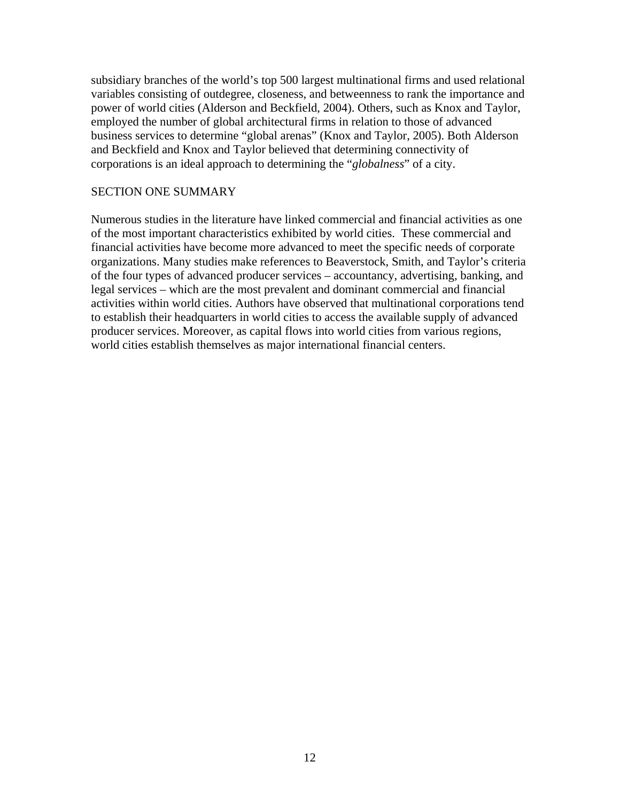subsidiary branches of the world's top 500 largest multinational firms and used relational variables consisting of outdegree, closeness, and betweenness to rank the importance and power of world cities (Alderson and Beckfield, 2004). Others, such as Knox and Taylor, employed the number of global architectural firms in relation to those of advanced business services to determine "global arenas" (Knox and Taylor, 2005). Both Alderson and Beckfield and Knox and Taylor believed that determining connectivity of corporations is an ideal approach to determining the "*globalness*" of a city.

#### SECTION ONE SUMMARY

Numerous studies in the literature have linked commercial and financial activities as one of the most important characteristics exhibited by world cities. These commercial and financial activities have become more advanced to meet the specific needs of corporate organizations. Many studies make references to Beaverstock, Smith, and Taylor's criteria of the four types of advanced producer services – accountancy, advertising, banking, and legal services – which are the most prevalent and dominant commercial and financial activities within world cities. Authors have observed that multinational corporations tend to establish their headquarters in world cities to access the available supply of advanced producer services. Moreover, as capital flows into world cities from various regions, world cities establish themselves as major international financial centers.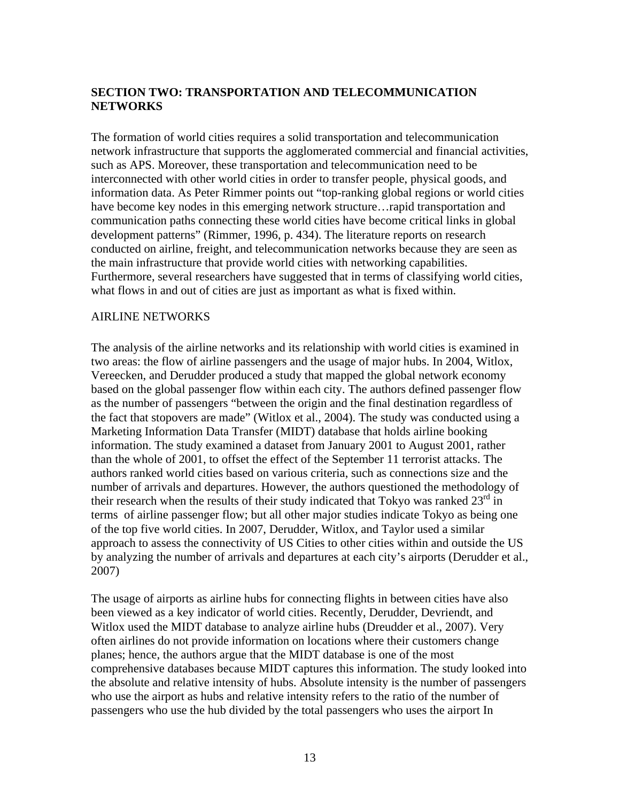## <span id="page-12-0"></span>**SECTION TWO: TRANSPORTATION AND TELECOMMUNICATION NETWORKS**

The formation of world cities requires a solid transportation and telecommunication network infrastructure that supports the agglomerated commercial and financial activities, such as APS. Moreover, these transportation and telecommunication need to be interconnected with other world cities in order to transfer people, physical goods, and information data. As Peter Rimmer points out "top-ranking global regions or world cities have become key nodes in this emerging network structure...rapid transportation and communication paths connecting these world cities have become critical links in global development patterns" (Rimmer, 1996, p. 434). The literature reports on research conducted on airline, freight, and telecommunication networks because they are seen as the main infrastructure that provide world cities with networking capabilities. Furthermore, several researchers have suggested that in terms of classifying world cities, what flows in and out of cities are just as important as what is fixed within.

#### AIRLINE NETWORKS

The analysis of the airline networks and its relationship with world cities is examined in two areas: the flow of airline passengers and the usage of major hubs. In 2004, Witlox, Vereecken, and Derudder produced a study that mapped the global network economy based on the global passenger flow within each city. The authors defined passenger flow as the number of passengers "between the origin and the final destination regardless of the fact that stopovers are made" (Witlox et al., 2004). The study was conducted using a Marketing Information Data Transfer (MIDT) database that holds airline booking information. The study examined a dataset from January 2001 to August 2001, rather than the whole of 2001, to offset the effect of the September 11 terrorist attacks. The authors ranked world cities based on various criteria, such as connections size and the number of arrivals and departures. However, the authors questioned the methodology of their research when the results of their study indicated that Tokyo was ranked  $23<sup>rd</sup>$  in terms of airline passenger flow; but all other major studies indicate Tokyo as being one of the top five world cities. In 2007, Derudder, Witlox, and Taylor used a similar approach to assess the connectivity of US Cities to other cities within and outside the US by analyzing the number of arrivals and departures at each city's airports (Derudder et al., 2007)

The usage of airports as airline hubs for connecting flights in between cities have also been viewed as a key indicator of world cities. Recently, Derudder, Devriendt, and Witlox used the MIDT database to analyze airline hubs (Dreudder et al., 2007). Very often airlines do not provide information on locations where their customers change planes; hence, the authors argue that the MIDT database is one of the most comprehensive databases because MIDT captures this information. The study looked into the absolute and relative intensity of hubs. Absolute intensity is the number of passengers who use the airport as hubs and relative intensity refers to the ratio of the number of passengers who use the hub divided by the total passengers who uses the airport In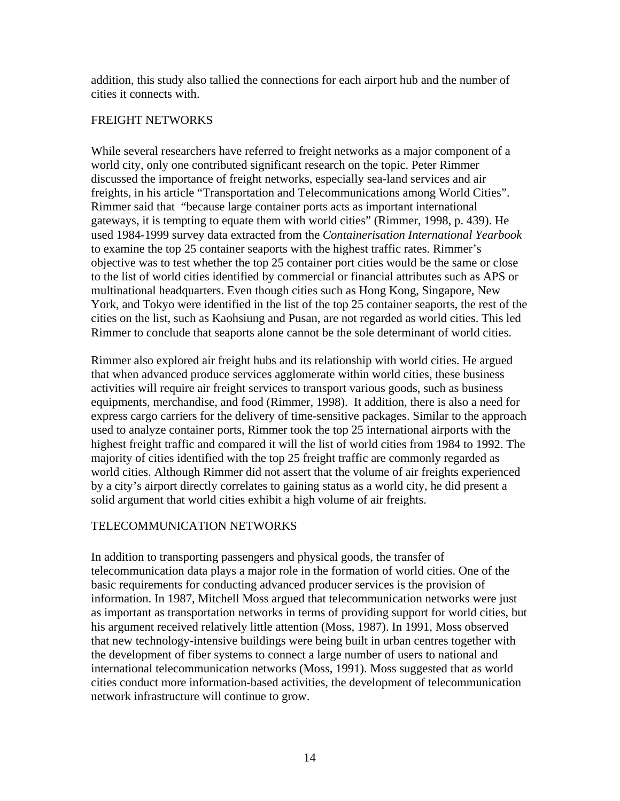<span id="page-13-0"></span>addition, this study also tallied the connections for each airport hub and the number of cities it connects with.

## FREIGHT NETWORKS

While several researchers have referred to freight networks as a major component of a world city, only one contributed significant research on the topic. Peter Rimmer discussed the importance of freight networks, especially sea-land services and air freights, in his article "Transportation and Telecommunications among World Cities". Rimmer said that "because large container ports acts as important international gateways, it is tempting to equate them with world cities" (Rimmer, 1998, p. 439). He used 1984-1999 survey data extracted from the *Containerisation International Yearbook* to examine the top 25 container seaports with the highest traffic rates. Rimmer's objective was to test whether the top 25 container port cities would be the same or close to the list of world cities identified by commercial or financial attributes such as APS or multinational headquarters. Even though cities such as Hong Kong, Singapore, New York, and Tokyo were identified in the list of the top 25 container seaports, the rest of the cities on the list, such as Kaohsiung and Pusan, are not regarded as world cities. This led Rimmer to conclude that seaports alone cannot be the sole determinant of world cities.

Rimmer also explored air freight hubs and its relationship with world cities. He argued that when advanced produce services agglomerate within world cities, these business activities will require air freight services to transport various goods, such as business equipments, merchandise, and food (Rimmer, 1998). It addition, there is also a need for express cargo carriers for the delivery of time-sensitive packages. Similar to the approach used to analyze container ports, Rimmer took the top 25 international airports with the highest freight traffic and compared it will the list of world cities from 1984 to 1992. The majority of cities identified with the top 25 freight traffic are commonly regarded as world cities. Although Rimmer did not assert that the volume of air freights experienced by a city's airport directly correlates to gaining status as a world city, he did present a solid argument that world cities exhibit a high volume of air freights.

## TELECOMMUNICATION NETWORKS

In addition to transporting passengers and physical goods, the transfer of telecommunication data plays a major role in the formation of world cities. One of the basic requirements for conducting advanced producer services is the provision of information. In 1987, Mitchell Moss argued that telecommunication networks were just as important as transportation networks in terms of providing support for world cities, but his argument received relatively little attention (Moss, 1987). In 1991, Moss observed that new technology-intensive buildings were being built in urban centres together with the development of fiber systems to connect a large number of users to national and international telecommunication networks (Moss, 1991). Moss suggested that as world cities conduct more information-based activities, the development of telecommunication network infrastructure will continue to grow.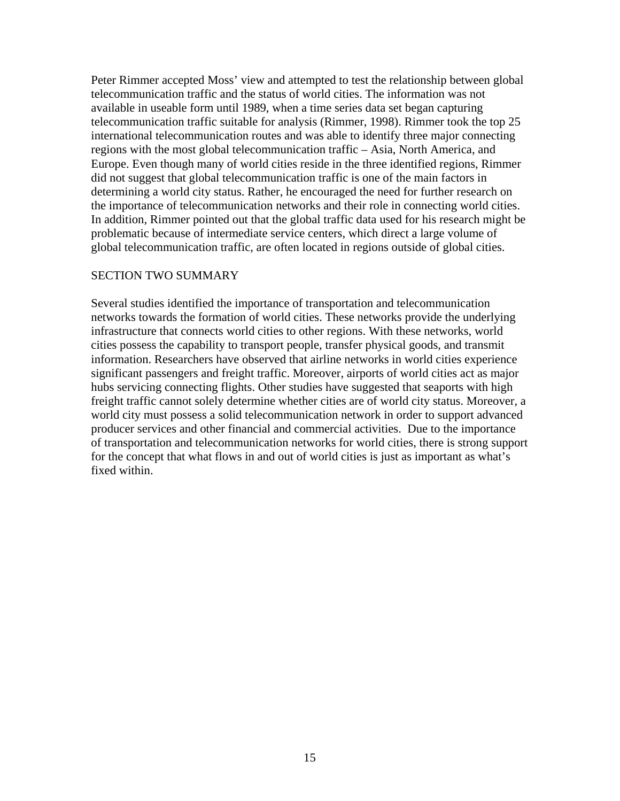Peter Rimmer accepted Moss' view and attempted to test the relationship between global telecommunication traffic and the status of world cities. The information was not available in useable form until 1989, when a time series data set began capturing telecommunication traffic suitable for analysis (Rimmer, 1998). Rimmer took the top 25 international telecommunication routes and was able to identify three major connecting regions with the most global telecommunication traffic – Asia, North America, and Europe. Even though many of world cities reside in the three identified regions, Rimmer did not suggest that global telecommunication traffic is one of the main factors in determining a world city status. Rather, he encouraged the need for further research on the importance of telecommunication networks and their role in connecting world cities. In addition, Rimmer pointed out that the global traffic data used for his research might be problematic because of intermediate service centers, which direct a large volume of global telecommunication traffic, are often located in regions outside of global cities.

#### SECTION TWO SUMMARY

Several studies identified the importance of transportation and telecommunication networks towards the formation of world cities. These networks provide the underlying infrastructure that connects world cities to other regions. With these networks, world cities possess the capability to transport people, transfer physical goods, and transmit information. Researchers have observed that airline networks in world cities experience significant passengers and freight traffic. Moreover, airports of world cities act as major hubs servicing connecting flights. Other studies have suggested that seaports with high freight traffic cannot solely determine whether cities are of world city status. Moreover, a world city must possess a solid telecommunication network in order to support advanced producer services and other financial and commercial activities. Due to the importance of transportation and telecommunication networks for world cities, there is strong support for the concept that what flows in and out of world cities is just as important as what's fixed within.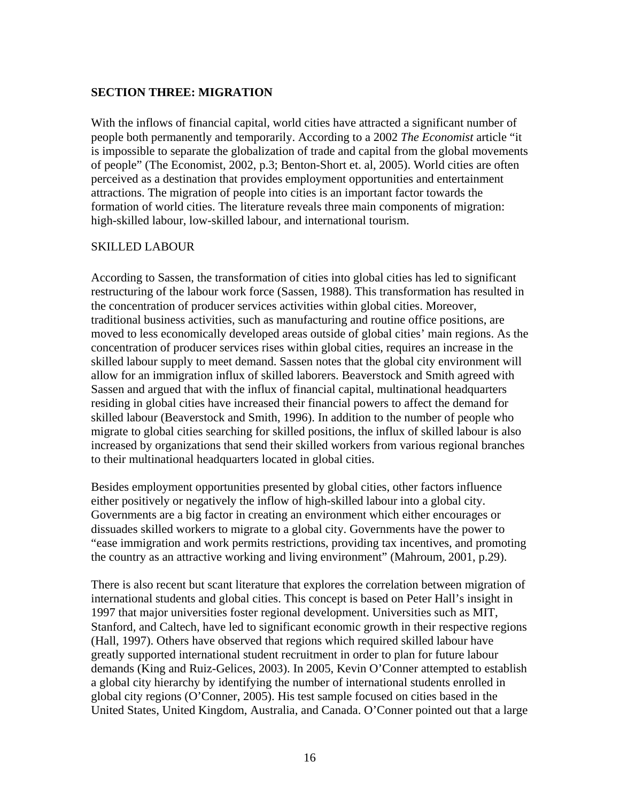## <span id="page-15-0"></span>**SECTION THREE: MIGRATION**

With the inflows of financial capital, world cities have attracted a significant number of people both permanently and temporarily. According to a 2002 *The Economist* article "it is impossible to separate the globalization of trade and capital from the global movements of people" (The Economist, 2002, p.3; Benton-Short et. al, 2005). World cities are often perceived as a destination that provides employment opportunities and entertainment attractions. The migration of people into cities is an important factor towards the formation of world cities. The literature reveals three main components of migration: high-skilled labour, low-skilled labour, and international tourism.

#### SKILLED LABOUR

According to Sassen, the transformation of cities into global cities has led to significant restructuring of the labour work force (Sassen, 1988). This transformation has resulted in the concentration of producer services activities within global cities. Moreover, traditional business activities, such as manufacturing and routine office positions, are moved to less economically developed areas outside of global cities' main regions. As the concentration of producer services rises within global cities, requires an increase in the skilled labour supply to meet demand. Sassen notes that the global city environment will allow for an immigration influx of skilled laborers. Beaverstock and Smith agreed with Sassen and argued that with the influx of financial capital, multinational headquarters residing in global cities have increased their financial powers to affect the demand for skilled labour (Beaverstock and Smith, 1996). In addition to the number of people who migrate to global cities searching for skilled positions, the influx of skilled labour is also increased by organizations that send their skilled workers from various regional branches to their multinational headquarters located in global cities.

Besides employment opportunities presented by global cities, other factors influence either positively or negatively the inflow of high-skilled labour into a global city. Governments are a big factor in creating an environment which either encourages or dissuades skilled workers to migrate to a global city. Governments have the power to "ease immigration and work permits restrictions, providing tax incentives, and promoting the country as an attractive working and living environment" (Mahroum, 2001, p.29).

There is also recent but scant literature that explores the correlation between migration of international students and global cities. This concept is based on Peter Hall's insight in 1997 that major universities foster regional development. Universities such as MIT, Stanford, and Caltech, have led to significant economic growth in their respective regions (Hall, 1997). Others have observed that regions which required skilled labour have greatly supported international student recruitment in order to plan for future labour demands (King and Ruiz-Gelices, 2003). In 2005, Kevin O'Conner attempted to establish a global city hierarchy by identifying the number of international students enrolled in global city regions (O'Conner, 2005). His test sample focused on cities based in the United States, United Kingdom, Australia, and Canada. O'Conner pointed out that a large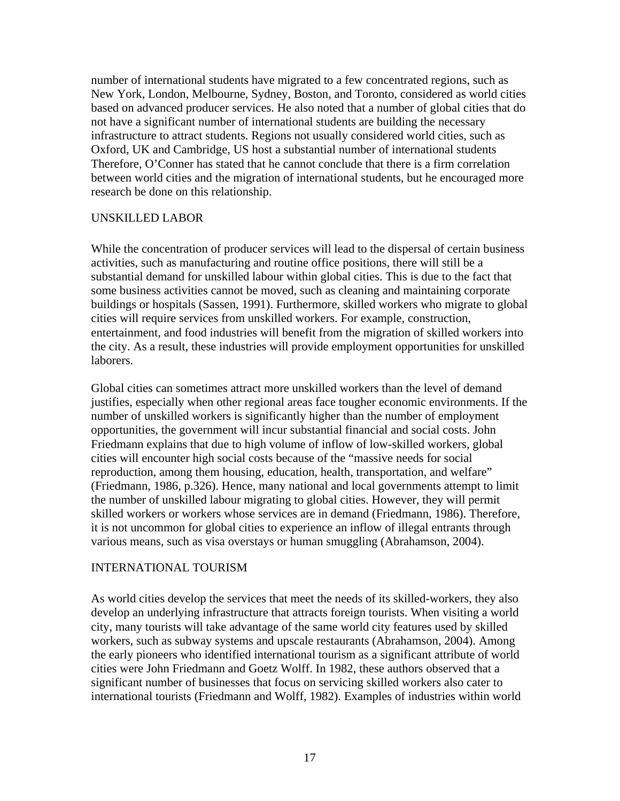<span id="page-16-0"></span>number of international students have migrated to a few concentrated regions, such as New York, London, Melbourne, Sydney, Boston, and Toronto, considered as world cities based on advanced producer services. He also noted that a number of global cities that do not have a significant number of international students are building the necessary infrastructure to attract students. Regions not usually considered world cities, such as Oxford, UK and Cambridge, US host a substantial number of international students Therefore, O'Conner has stated that he cannot conclude that there is a firm correlation between world cities and the migration of international students, but he encouraged more research be done on this relationship.

#### UNSKILLED LABOR

While the concentration of producer services will lead to the dispersal of certain business activities, such as manufacturing and routine office positions, there will still be a substantial demand for unskilled labour within global cities. This is due to the fact that some business activities cannot be moved, such as cleaning and maintaining corporate buildings or hospitals (Sassen, 1991). Furthermore, skilled workers who migrate to global cities will require services from unskilled workers. For example, construction, entertainment, and food industries will benefit from the migration of skilled workers into the city. As a result, these industries will provide employment opportunities for unskilled laborers.

Global cities can sometimes attract more unskilled workers than the level of demand justifies, especially when other regional areas face tougher economic environments. If the number of unskilled workers is significantly higher than the number of employment opportunities, the government will incur substantial financial and social costs. John Friedmann explains that due to high volume of inflow of low-skilled workers, global cities will encounter high social costs because of the "massive needs for social reproduction, among them housing, education, health, transportation, and welfare" (Friedmann, 1986, p.326). Hence, many national and local governments attempt to limit the number of unskilled labour migrating to global cities. However, they will permit skilled workers or workers whose services are in demand (Friedmann, 1986). Therefore, it is not uncommon for global cities to experience an inflow of illegal entrants through various means, such as visa overstays or human smuggling (Abrahamson, 2004).

#### INTERNATIONAL TOURISM

As world cities develop the services that meet the needs of its skilled-workers, they also develop an underlying infrastructure that attracts foreign tourists. When visiting a world city, many tourists will take advantage of the same world city features used by skilled workers, such as subway systems and upscale restaurants (Abrahamson, 2004). Among the early pioneers who identified international tourism as a significant attribute of world cities were John Friedmann and Goetz Wolff. In 1982, these authors observed that a significant number of businesses that focus on servicing skilled workers also cater to international tourists (Friedmann and Wolff, 1982). Examples of industries within world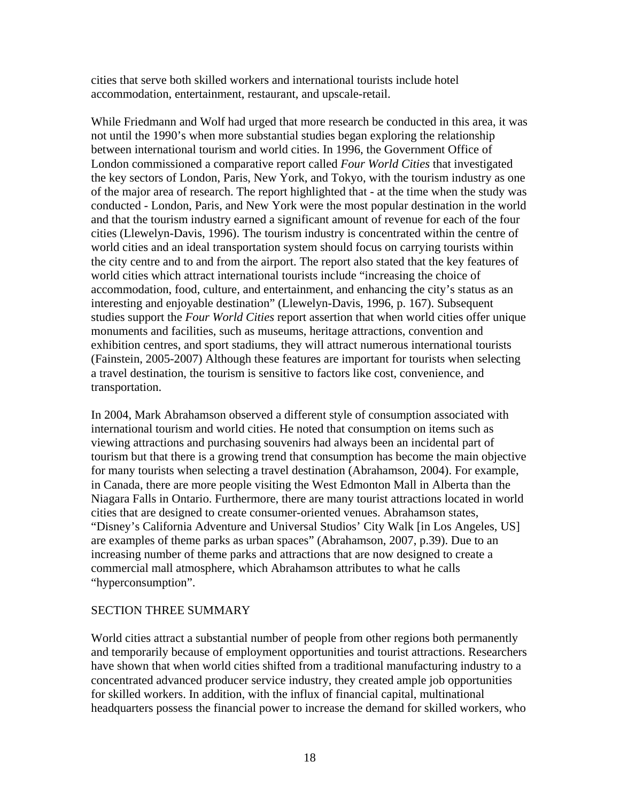cities that serve both skilled workers and international tourists include hotel accommodation, entertainment, restaurant, and upscale-retail.

While Friedmann and Wolf had urged that more research be conducted in this area, it was not until the 1990's when more substantial studies began exploring the relationship between international tourism and world cities. In 1996, the Government Office of London commissioned a comparative report called *Four World Cities* that investigated the key sectors of London, Paris, New York, and Tokyo, with the tourism industry as one of the major area of research. The report highlighted that - at the time when the study was conducted - London, Paris, and New York were the most popular destination in the world and that the tourism industry earned a significant amount of revenue for each of the four cities (Llewelyn-Davis, 1996). The tourism industry is concentrated within the centre of world cities and an ideal transportation system should focus on carrying tourists within the city centre and to and from the airport. The report also stated that the key features of world cities which attract international tourists include "increasing the choice of accommodation, food, culture, and entertainment, and enhancing the city's status as an interesting and enjoyable destination" (Llewelyn-Davis, 1996, p. 167). Subsequent studies support the *Four World Cities* report assertion that when world cities offer unique monuments and facilities, such as museums, heritage attractions, convention and exhibition centres, and sport stadiums, they will attract numerous international tourists (Fainstein, 2005-2007) Although these features are important for tourists when selecting a travel destination, the tourism is sensitive to factors like cost, convenience, and transportation.

In 2004, Mark Abrahamson observed a different style of consumption associated with international tourism and world cities. He noted that consumption on items such as viewing attractions and purchasing souvenirs had always been an incidental part of tourism but that there is a growing trend that consumption has become the main objective for many tourists when selecting a travel destination (Abrahamson, 2004). For example, in Canada, there are more people visiting the West Edmonton Mall in Alberta than the Niagara Falls in Ontario. Furthermore, there are many tourist attractions located in world cities that are designed to create consumer-oriented venues. Abrahamson states, "Disney's California Adventure and Universal Studios' City Walk [in Los Angeles, US] are examples of theme parks as urban spaces" (Abrahamson, 2007, p.39). Due to an increasing number of theme parks and attractions that are now designed to create a commercial mall atmosphere, which Abrahamson attributes to what he calls "hyperconsumption".

## SECTION THREE SUMMARY

World cities attract a substantial number of people from other regions both permanently and temporarily because of employment opportunities and tourist attractions. Researchers have shown that when world cities shifted from a traditional manufacturing industry to a concentrated advanced producer service industry, they created ample job opportunities for skilled workers. In addition, with the influx of financial capital, multinational headquarters possess the financial power to increase the demand for skilled workers, who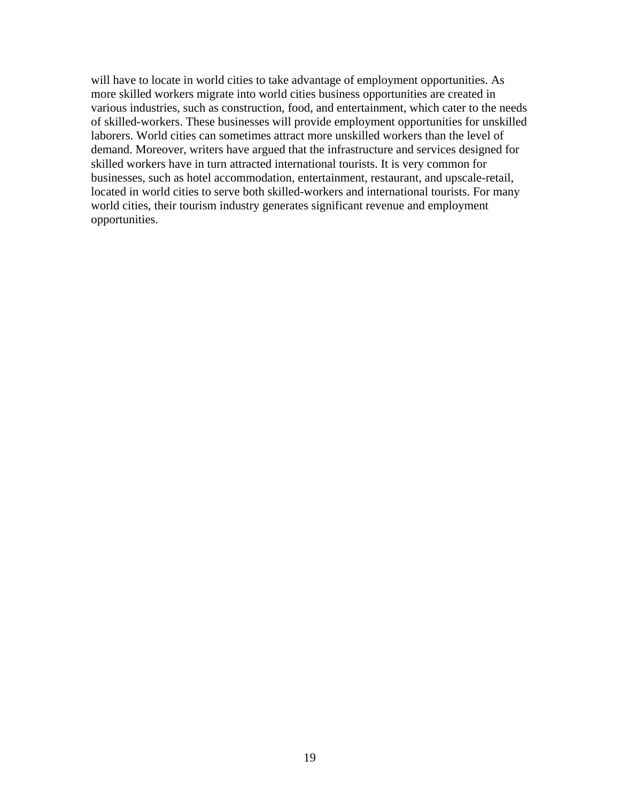will have to locate in world cities to take advantage of employment opportunities. As more skilled workers migrate into world cities business opportunities are created in various industries, such as construction, food, and entertainment, which cater to the needs of skilled-workers. These businesses will provide employment opportunities for unskilled laborers. World cities can sometimes attract more unskilled workers than the level of demand. Moreover, writers have argued that the infrastructure and services designed for skilled workers have in turn attracted international tourists. It is very common for businesses, such as hotel accommodation, entertainment, restaurant, and upscale-retail, located in world cities to serve both skilled-workers and international tourists. For many world cities, their tourism industry generates significant revenue and employment opportunities.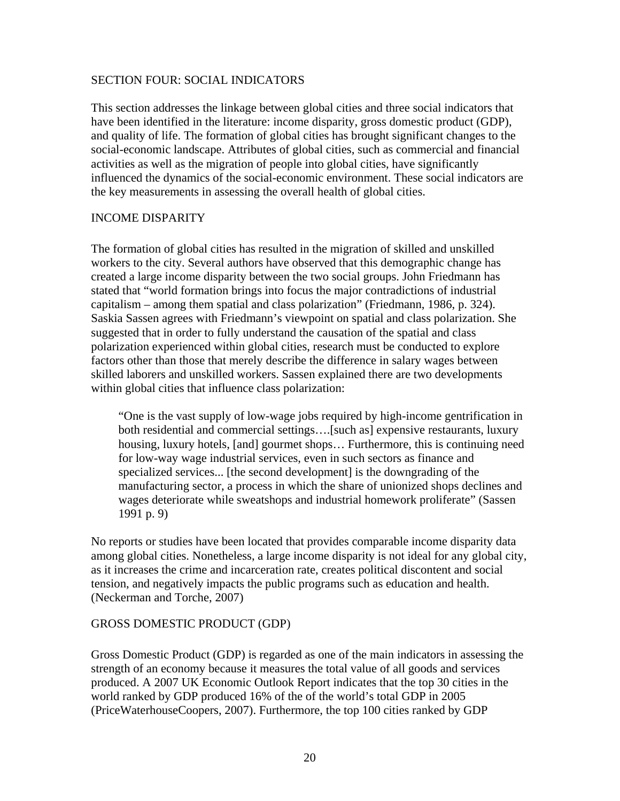#### <span id="page-19-0"></span>SECTION FOUR: SOCIAL INDICATORS

This section addresses the linkage between global cities and three social indicators that have been identified in the literature: income disparity, gross domestic product (GDP), and quality of life. The formation of global cities has brought significant changes to the social-economic landscape. Attributes of global cities, such as commercial and financial activities as well as the migration of people into global cities, have significantly influenced the dynamics of the social-economic environment. These social indicators are the key measurements in assessing the overall health of global cities.

#### INCOME DISPARITY

The formation of global cities has resulted in the migration of skilled and unskilled workers to the city. Several authors have observed that this demographic change has created a large income disparity between the two social groups. John Friedmann has stated that "world formation brings into focus the major contradictions of industrial capitalism – among them spatial and class polarization" (Friedmann, 1986, p. 324). Saskia Sassen agrees with Friedmann's viewpoint on spatial and class polarization. She suggested that in order to fully understand the causation of the spatial and class polarization experienced within global cities, research must be conducted to explore factors other than those that merely describe the difference in salary wages between skilled laborers and unskilled workers. Sassen explained there are two developments within global cities that influence class polarization:

"One is the vast supply of low-wage jobs required by high-income gentrification in both residential and commercial settings….[such as] expensive restaurants, luxury housing, luxury hotels, [and] gourmet shops… Furthermore, this is continuing need for low-way wage industrial services, even in such sectors as finance and specialized services... [the second development] is the downgrading of the manufacturing sector, a process in which the share of unionized shops declines and wages deteriorate while sweatshops and industrial homework proliferate" (Sassen 1991 p. 9)

No reports or studies have been located that provides comparable income disparity data among global cities. Nonetheless, a large income disparity is not ideal for any global city, as it increases the crime and incarceration rate, creates political discontent and social tension, and negatively impacts the public programs such as education and health. (Neckerman and Torche, 2007)

#### GROSS DOMESTIC PRODUCT (GDP)

Gross Domestic Product (GDP) is regarded as one of the main indicators in assessing the strength of an economy because it measures the total value of all goods and services produced. A 2007 UK Economic Outlook Report indicates that the top 30 cities in the world ranked by GDP produced 16% of the of the world's total GDP in 2005 (PriceWaterhouseCoopers, 2007). Furthermore, the top 100 cities ranked by GDP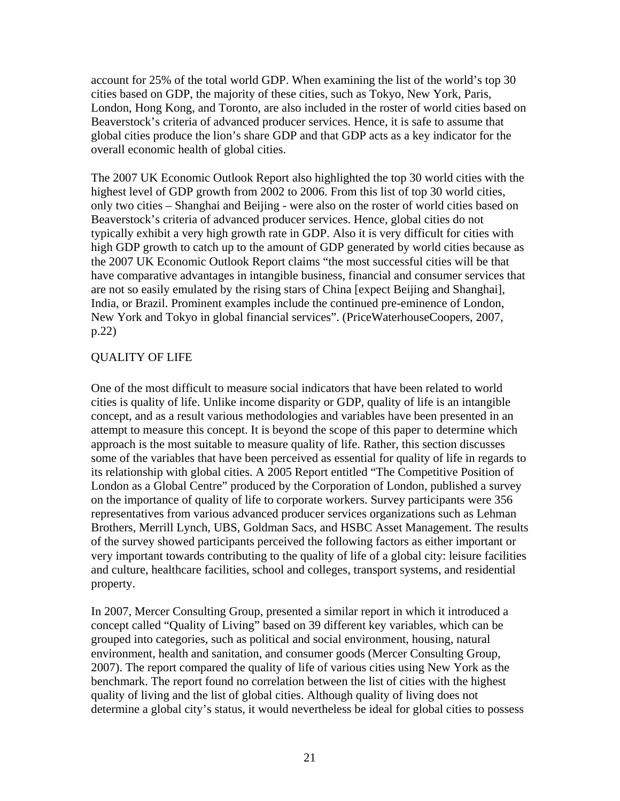<span id="page-20-0"></span>account for 25% of the total world GDP. When examining the list of the world's top 30 cities based on GDP, the majority of these cities, such as Tokyo, New York, Paris, London, Hong Kong, and Toronto, are also included in the roster of world cities based on Beaverstock's criteria of advanced producer services. Hence, it is safe to assume that global cities produce the lion's share GDP and that GDP acts as a key indicator for the overall economic health of global cities.

The 2007 UK Economic Outlook Report also highlighted the top 30 world cities with the highest level of GDP growth from 2002 to 2006. From this list of top 30 world cities, only two cities – Shanghai and Beijing - were also on the roster of world cities based on Beaverstock's criteria of advanced producer services. Hence, global cities do not typically exhibit a very high growth rate in GDP. Also it is very difficult for cities with high GDP growth to catch up to the amount of GDP generated by world cities because as the 2007 UK Economic Outlook Report claims "the most successful cities will be that have comparative advantages in intangible business, financial and consumer services that are not so easily emulated by the rising stars of China [expect Beijing and Shanghai], India, or Brazil. Prominent examples include the continued pre-eminence of London, New York and Tokyo in global financial services". (PriceWaterhouseCoopers, 2007, p.22)

## QUALITY OF LIFE

One of the most difficult to measure social indicators that have been related to world cities is quality of life. Unlike income disparity or GDP, quality of life is an intangible concept, and as a result various methodologies and variables have been presented in an attempt to measure this concept. It is beyond the scope of this paper to determine which approach is the most suitable to measure quality of life. Rather, this section discusses some of the variables that have been perceived as essential for quality of life in regards to its relationship with global cities. A 2005 Report entitled "The Competitive Position of London as a Global Centre" produced by the Corporation of London, published a survey on the importance of quality of life to corporate workers. Survey participants were 356 representatives from various advanced producer services organizations such as Lehman Brothers, Merrill Lynch, UBS, Goldman Sacs, and HSBC Asset Management. The results of the survey showed participants perceived the following factors as either important or very important towards contributing to the quality of life of a global city: leisure facilities and culture, healthcare facilities, school and colleges, transport systems, and residential property.

In 2007, Mercer Consulting Group, presented a similar report in which it introduced a concept called "Quality of Living" based on 39 different key variables, which can be grouped into categories, such as political and social environment, housing, natural environment, health and sanitation, and consumer goods (Mercer Consulting Group, 2007). The report compared the quality of life of various cities using New York as the benchmark. The report found no correlation between the list of cities with the highest quality of living and the list of global cities. Although quality of living does not determine a global city's status, it would nevertheless be ideal for global cities to possess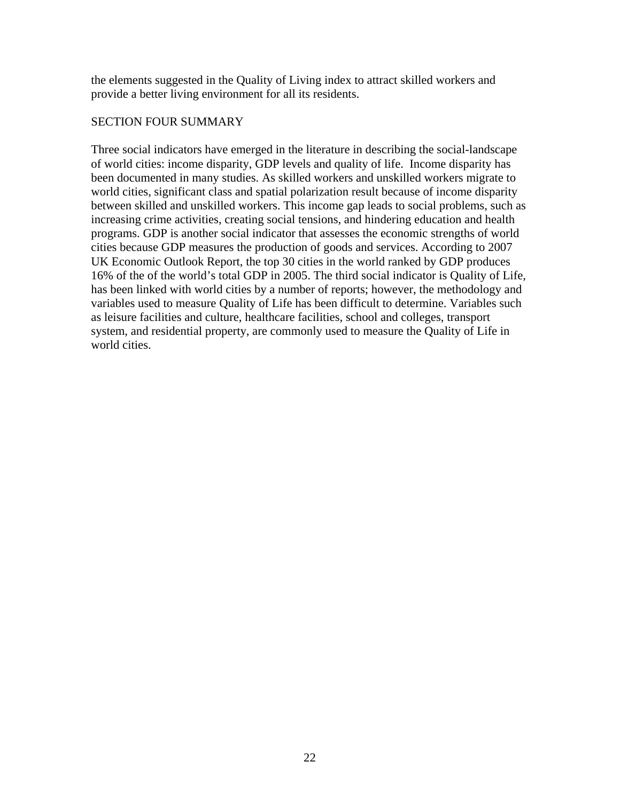the elements suggested in the Quality of Living index to attract skilled workers and provide a better living environment for all its residents.

### SECTION FOUR SUMMARY

Three social indicators have emerged in the literature in describing the social-landscape of world cities: income disparity, GDP levels and quality of life. Income disparity has been documented in many studies. As skilled workers and unskilled workers migrate to world cities, significant class and spatial polarization result because of income disparity between skilled and unskilled workers. This income gap leads to social problems, such as increasing crime activities, creating social tensions, and hindering education and health programs. GDP is another social indicator that assesses the economic strengths of world cities because GDP measures the production of goods and services. According to 2007 UK Economic Outlook Report, the top 30 cities in the world ranked by GDP produces 16% of the of the world's total GDP in 2005. The third social indicator is Quality of Life, has been linked with world cities by a number of reports; however, the methodology and variables used to measure Quality of Life has been difficult to determine. Variables such as leisure facilities and culture, healthcare facilities, school and colleges, transport system, and residential property, are commonly used to measure the Quality of Life in world cities.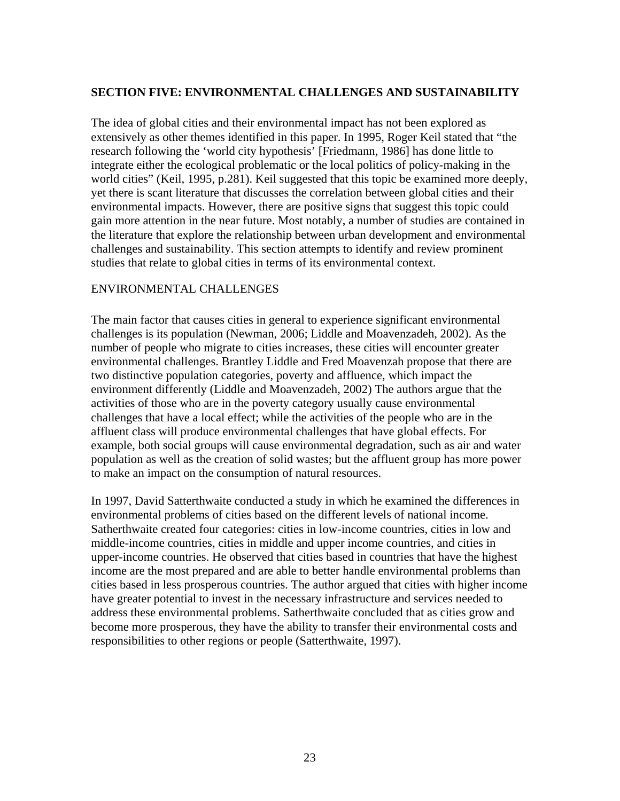## <span id="page-22-0"></span>**SECTION FIVE: ENVIRONMENTAL CHALLENGES AND SUSTAINABILITY**

The idea of global cities and their environmental impact has not been explored as extensively as other themes identified in this paper. In 1995, Roger Keil stated that "the research following the 'world city hypothesis' [Friedmann, 1986] has done little to integrate either the ecological problematic or the local politics of policy-making in the world cities" (Keil, 1995, p.281). Keil suggested that this topic be examined more deeply, yet there is scant literature that discusses the correlation between global cities and their environmental impacts. However, there are positive signs that suggest this topic could gain more attention in the near future. Most notably, a number of studies are contained in the literature that explore the relationship between urban development and environmental challenges and sustainability. This section attempts to identify and review prominent studies that relate to global cities in terms of its environmental context.

#### ENVIRONMENTAL CHALLENGES

The main factor that causes cities in general to experience significant environmental challenges is its population (Newman, 2006; Liddle and Moavenzadeh, 2002). As the number of people who migrate to cities increases, these cities will encounter greater environmental challenges. Brantley Liddle and Fred Moavenzah propose that there are two distinctive population categories, poverty and affluence, which impact the environment differently (Liddle and Moavenzadeh, 2002) The authors argue that the activities of those who are in the poverty category usually cause environmental challenges that have a local effect; while the activities of the people who are in the affluent class will produce environmental challenges that have global effects. For example, both social groups will cause environmental degradation, such as air and water population as well as the creation of solid wastes; but the affluent group has more power to make an impact on the consumption of natural resources.

In 1997, David Satterthwaite conducted a study in which he examined the differences in environmental problems of cities based on the different levels of national income. Satherthwaite created four categories: cities in low-income countries, cities in low and middle-income countries, cities in middle and upper income countries, and cities in upper-income countries. He observed that cities based in countries that have the highest income are the most prepared and are able to better handle environmental problems than cities based in less prosperous countries. The author argued that cities with higher income have greater potential to invest in the necessary infrastructure and services needed to address these environmental problems. Satherthwaite concluded that as cities grow and become more prosperous, they have the ability to transfer their environmental costs and responsibilities to other regions or people (Satterthwaite, 1997).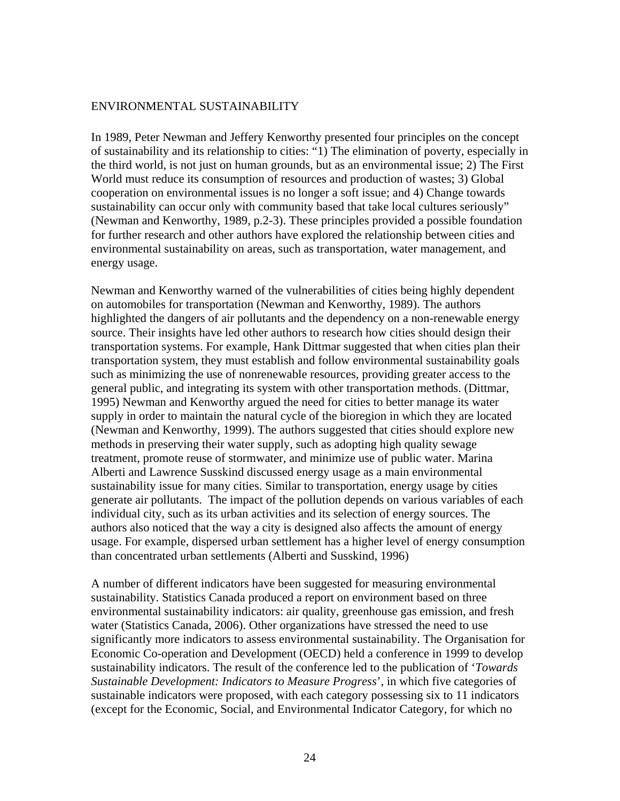#### <span id="page-23-0"></span>ENVIRONMENTAL SUSTAINABILITY

In 1989, Peter Newman and Jeffery Kenworthy presented four principles on the concept of sustainability and its relationship to cities: "1) The elimination of poverty, especially in the third world, is not just on human grounds, but as an environmental issue; 2) The First World must reduce its consumption of resources and production of wastes; 3) Global cooperation on environmental issues is no longer a soft issue; and 4) Change towards sustainability can occur only with community based that take local cultures seriously" (Newman and Kenworthy, 1989, p.2-3). These principles provided a possible foundation for further research and other authors have explored the relationship between cities and environmental sustainability on areas, such as transportation, water management, and energy usage.

Newman and Kenworthy warned of the vulnerabilities of cities being highly dependent on automobiles for transportation (Newman and Kenworthy, 1989). The authors highlighted the dangers of air pollutants and the dependency on a non-renewable energy source. Their insights have led other authors to research how cities should design their transportation systems. For example, Hank Dittmar suggested that when cities plan their transportation system, they must establish and follow environmental sustainability goals such as minimizing the use of nonrenewable resources, providing greater access to the general public, and integrating its system with other transportation methods. (Dittmar, 1995) Newman and Kenworthy argued the need for cities to better manage its water supply in order to maintain the natural cycle of the bioregion in which they are located (Newman and Kenworthy, 1999). The authors suggested that cities should explore new methods in preserving their water supply, such as adopting high quality sewage treatment, promote reuse of stormwater, and minimize use of public water. Marina Alberti and Lawrence Susskind discussed energy usage as a main environmental sustainability issue for many cities. Similar to transportation, energy usage by cities generate air pollutants. The impact of the pollution depends on various variables of each individual city, such as its urban activities and its selection of energy sources. The authors also noticed that the way a city is designed also affects the amount of energy usage. For example, dispersed urban settlement has a higher level of energy consumption than concentrated urban settlements (Alberti and Susskind, 1996)

A number of different indicators have been suggested for measuring environmental sustainability. Statistics Canada produced a report on environment based on three environmental sustainability indicators: air quality, greenhouse gas emission, and fresh water (Statistics Canada, 2006). Other organizations have stressed the need to use significantly more indicators to assess environmental sustainability. The Organisation for Economic Co-operation and Development (OECD) held a conference in 1999 to develop sustainability indicators. The result of the conference led to the publication of '*Towards Sustainable Development: Indicators to Measure Progress*', in which five categories of sustainable indicators were proposed, with each category possessing six to 11 indicators (except for the Economic, Social, and Environmental Indicator Category, for which no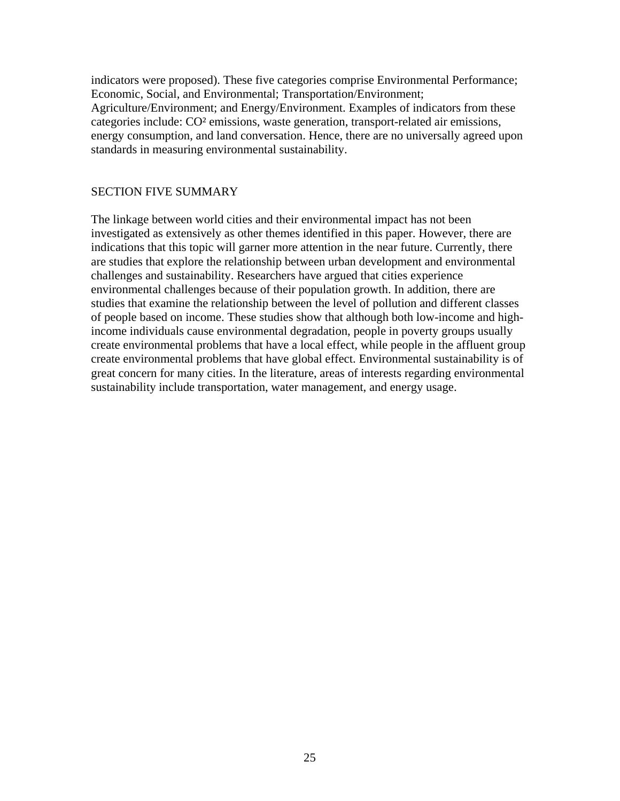indicators were proposed). These five categories comprise Environmental Performance; Economic, Social, and Environmental; Transportation/Environment; Agriculture/Environment; and Energy/Environment. Examples of indicators from these categories include: CO² emissions, waste generation, transport-related air emissions, energy consumption, and land conversation. Hence, there are no universally agreed upon standards in measuring environmental sustainability.

#### SECTION FIVE SUMMARY

The linkage between world cities and their environmental impact has not been investigated as extensively as other themes identified in this paper. However, there are indications that this topic will garner more attention in the near future. Currently, there are studies that explore the relationship between urban development and environmental challenges and sustainability. Researchers have argued that cities experience environmental challenges because of their population growth. In addition, there are studies that examine the relationship between the level of pollution and different classes of people based on income. These studies show that although both low-income and highincome individuals cause environmental degradation, people in poverty groups usually create environmental problems that have a local effect, while people in the affluent group create environmental problems that have global effect. Environmental sustainability is of great concern for many cities. In the literature, areas of interests regarding environmental sustainability include transportation, water management, and energy usage.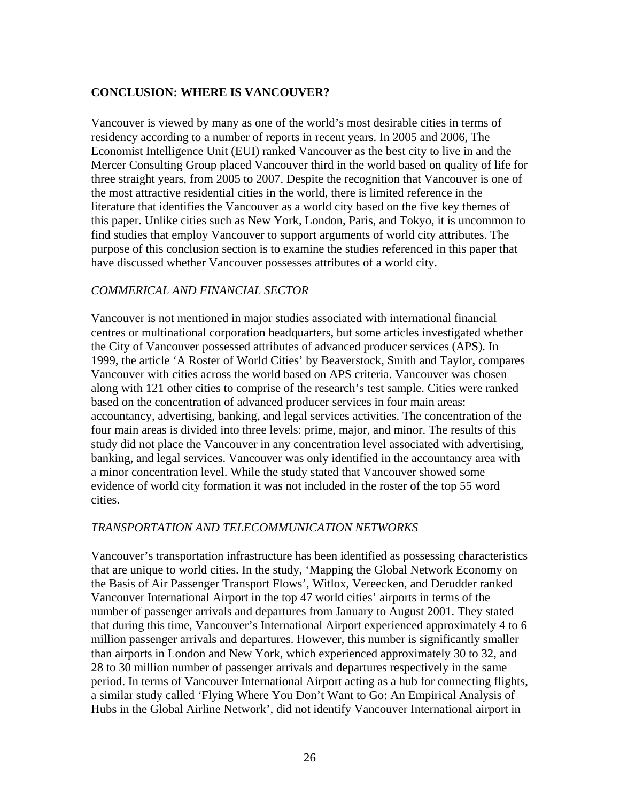## <span id="page-25-0"></span>**CONCLUSION: WHERE IS VANCOUVER?**

Vancouver is viewed by many as one of the world's most desirable cities in terms of residency according to a number of reports in recent years. In 2005 and 2006, The Economist Intelligence Unit (EUI) ranked Vancouver as the best city to live in and the Mercer Consulting Group placed Vancouver third in the world based on quality of life for three straight years, from 2005 to 2007. Despite the recognition that Vancouver is one of the most attractive residential cities in the world, there is limited reference in the literature that identifies the Vancouver as a world city based on the five key themes of this paper. Unlike cities such as New York, London, Paris, and Tokyo, it is uncommon to find studies that employ Vancouver to support arguments of world city attributes. The purpose of this conclusion section is to examine the studies referenced in this paper that have discussed whether Vancouver possesses attributes of a world city.

#### *COMMERICAL AND FINANCIAL SECTOR*

Vancouver is not mentioned in major studies associated with international financial centres or multinational corporation headquarters, but some articles investigated whether the City of Vancouver possessed attributes of advanced producer services (APS). In 1999, the article 'A Roster of World Cities' by Beaverstock, Smith and Taylor, compares Vancouver with cities across the world based on APS criteria. Vancouver was chosen along with 121 other cities to comprise of the research's test sample. Cities were ranked based on the concentration of advanced producer services in four main areas: accountancy, advertising, banking, and legal services activities. The concentration of the four main areas is divided into three levels: prime, major, and minor. The results of this study did not place the Vancouver in any concentration level associated with advertising, banking, and legal services. Vancouver was only identified in the accountancy area with a minor concentration level. While the study stated that Vancouver showed some evidence of world city formation it was not included in the roster of the top 55 word cities.

#### *TRANSPORTATION AND TELECOMMUNICATION NETWORKS*

Vancouver's transportation infrastructure has been identified as possessing characteristics that are unique to world cities. In the study, 'Mapping the Global Network Economy on the Basis of Air Passenger Transport Flows', Witlox, Vereecken, and Derudder ranked Vancouver International Airport in the top 47 world cities' airports in terms of the number of passenger arrivals and departures from January to August 2001. They stated that during this time, Vancouver's International Airport experienced approximately 4 to 6 million passenger arrivals and departures. However, this number is significantly smaller than airports in London and New York, which experienced approximately 30 to 32, and 28 to 30 million number of passenger arrivals and departures respectively in the same period. In terms of Vancouver International Airport acting as a hub for connecting flights, a similar study called 'Flying Where You Don't Want to Go: An Empirical Analysis of Hubs in the Global Airline Network', did not identify Vancouver International airport in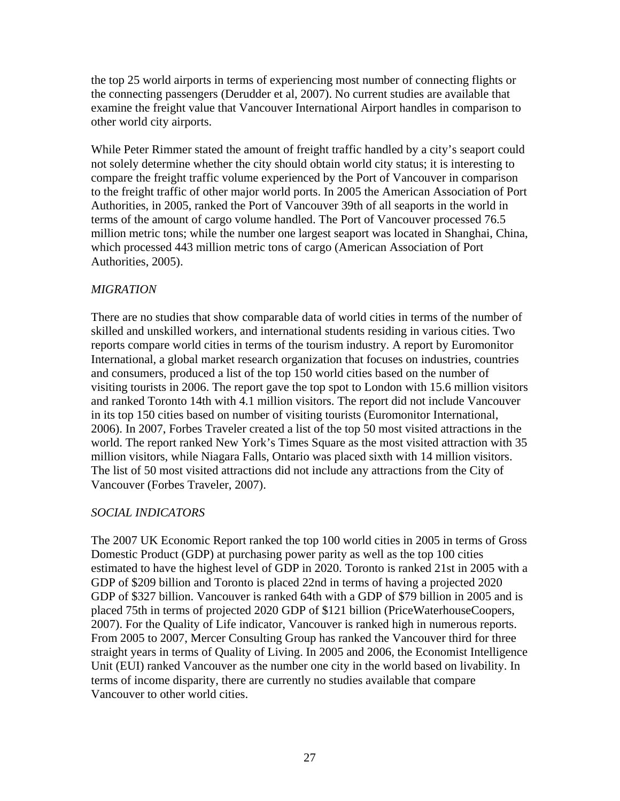the top 25 world airports in terms of experiencing most number of connecting flights or the connecting passengers (Derudder et al, 2007). No current studies are available that examine the freight value that Vancouver International Airport handles in comparison to other world city airports.

While Peter Rimmer stated the amount of freight traffic handled by a city's seaport could not solely determine whether the city should obtain world city status; it is interesting to compare the freight traffic volume experienced by the Port of Vancouver in comparison to the freight traffic of other major world ports. In 2005 the American Association of Port Authorities, in 2005, ranked the Port of Vancouver 39th of all seaports in the world in terms of the amount of cargo volume handled. The Port of Vancouver processed 76.5 million metric tons; while the number one largest seaport was located in Shanghai, China, which processed 443 million metric tons of cargo (American Association of Port Authorities, 2005).

## *MIGRATION*

There are no studies that show comparable data of world cities in terms of the number of skilled and unskilled workers, and international students residing in various cities. Two reports compare world cities in terms of the tourism industry. A report by Euromonitor International, a global market research organization that focuses on industries, countries and consumers, produced a list of the top 150 world cities based on the number of visiting tourists in 2006. The report gave the top spot to London with 15.6 million visitors and ranked Toronto 14th with 4.1 million visitors. The report did not include Vancouver in its top 150 cities based on number of visiting tourists (Euromonitor International, 2006). In 2007, Forbes Traveler created a list of the top 50 most visited attractions in the world. The report ranked New York's Times Square as the most visited attraction with 35 million visitors, while Niagara Falls, Ontario was placed sixth with 14 million visitors. The list of 50 most visited attractions did not include any attractions from the City of Vancouver (Forbes Traveler, 2007).

## *SOCIAL INDICATORS*

The 2007 UK Economic Report ranked the top 100 world cities in 2005 in terms of Gross Domestic Product (GDP) at purchasing power parity as well as the top 100 cities estimated to have the highest level of GDP in 2020. Toronto is ranked 21st in 2005 with a GDP of \$209 billion and Toronto is placed 22nd in terms of having a projected 2020 GDP of \$327 billion. Vancouver is ranked 64th with a GDP of \$79 billion in 2005 and is placed 75th in terms of projected 2020 GDP of \$121 billion (PriceWaterhouseCoopers, 2007). For the Quality of Life indicator, Vancouver is ranked high in numerous reports. From 2005 to 2007, Mercer Consulting Group has ranked the Vancouver third for three straight years in terms of Quality of Living. In 2005 and 2006, the Economist Intelligence Unit (EUI) ranked Vancouver as the number one city in the world based on livability. In terms of income disparity, there are currently no studies available that compare Vancouver to other world cities.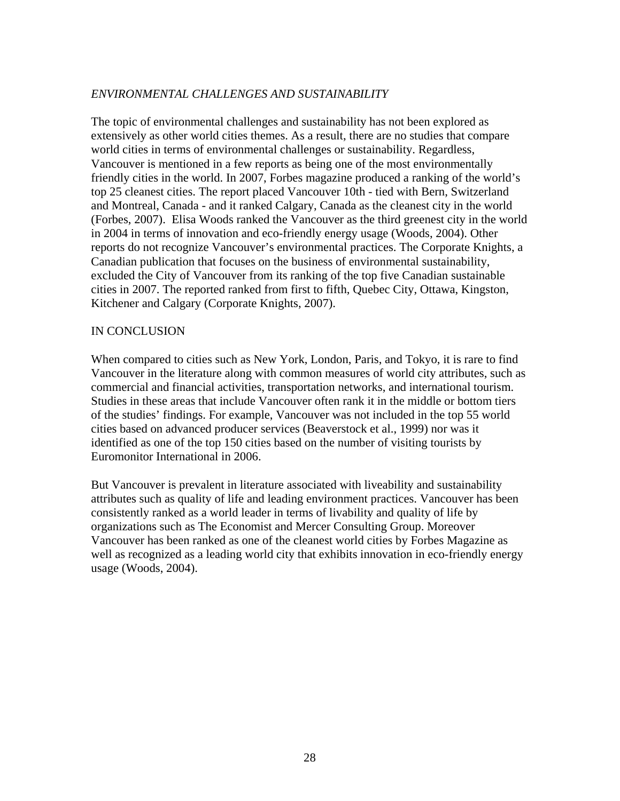# *ENVIRONMENTAL CHALLENGES AND SUSTAINABILITY*

The topic of environmental challenges and sustainability has not been explored as extensively as other world cities themes. As a result, there are no studies that compare world cities in terms of environmental challenges or sustainability. Regardless, Vancouver is mentioned in a few reports as being one of the most environmentally friendly cities in the world. In 2007, Forbes magazine produced a ranking of the world's top 25 cleanest cities. The report placed Vancouver 10th - tied with Bern, Switzerland and Montreal, Canada - and it ranked Calgary, Canada as the cleanest city in the world (Forbes, 2007). Elisa Woods ranked the Vancouver as the third greenest city in the world in 2004 in terms of innovation and eco-friendly energy usage (Woods, 2004). Other reports do not recognize Vancouver's environmental practices. The Corporate Knights, a Canadian publication that focuses on the business of environmental sustainability, excluded the City of Vancouver from its ranking of the top five Canadian sustainable cities in 2007. The reported ranked from first to fifth, Quebec City, Ottawa, Kingston, Kitchener and Calgary (Corporate Knights, 2007).

#### IN CONCLUSION

When compared to cities such as New York, London, Paris, and Tokyo, it is rare to find Vancouver in the literature along with common measures of world city attributes, such as commercial and financial activities, transportation networks, and international tourism. Studies in these areas that include Vancouver often rank it in the middle or bottom tiers of the studies' findings. For example, Vancouver was not included in the top 55 world cities based on advanced producer services (Beaverstock et al., 1999) nor was it identified as one of the top 150 cities based on the number of visiting tourists by Euromonitor International in 2006.

But Vancouver is prevalent in literature associated with liveability and sustainability attributes such as quality of life and leading environment practices. Vancouver has been consistently ranked as a world leader in terms of livability and quality of life by organizations such as The Economist and Mercer Consulting Group. Moreover Vancouver has been ranked as one of the cleanest world cities by Forbes Magazine as well as recognized as a leading world city that exhibits innovation in eco-friendly energy usage (Woods, 2004).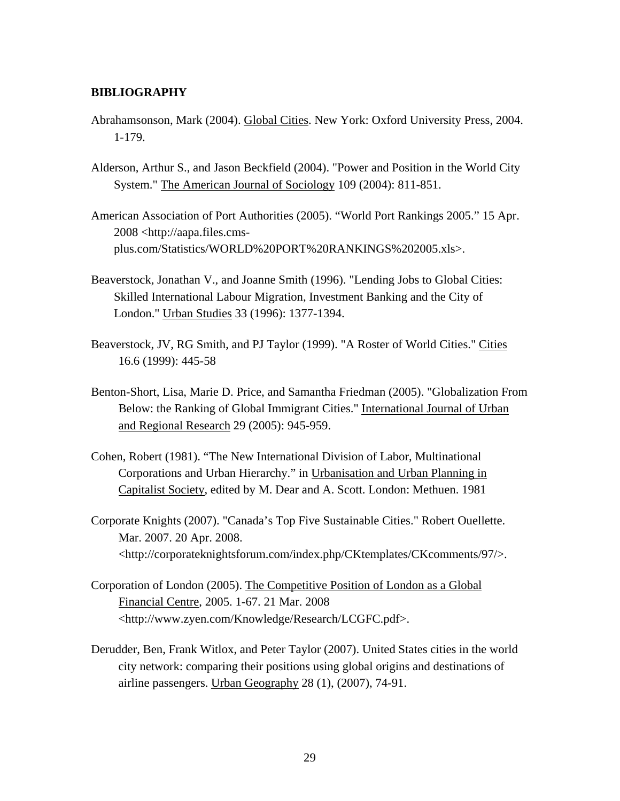#### <span id="page-28-0"></span>**BIBLIOGRAPHY**

- Abrahamsonson, Mark (2004). Global Cities. New York: Oxford University Press, 2004. 1-179.
- Alderson, Arthur S., and Jason Beckfield (2004). "Power and Position in the World City System." The American Journal of Sociology 109 (2004): 811-851.
- American Association of Port Authorities (2005). "World Port Rankings 2005." 15 Apr. 2008 <http://aapa.files.cmsplus.com/Statistics/WORLD%20PORT%20RANKINGS%202005.xls>.
- Beaverstock, Jonathan V., and Joanne Smith (1996). "Lending Jobs to Global Cities: Skilled International Labour Migration, Investment Banking and the City of London." Urban Studies 33 (1996): 1377-1394.
- Beaverstock, JV, RG Smith, and PJ Taylor (1999). "A Roster of World Cities." Cities 16.6 (1999): 445-58
- Benton-Short, Lisa, Marie D. Price, and Samantha Friedman (2005). "Globalization From Below: the Ranking of Global Immigrant Cities." International Journal of Urban and Regional Research 29 (2005): 945-959.
- Cohen, Robert (1981). "The New International Division of Labor, Multinational Corporations and Urban Hierarchy." in Urbanisation and Urban Planning in Capitalist Society, edited by M. Dear and A. Scott. London: Methuen. 1981
- Corporate Knights (2007). "Canada's Top Five Sustainable Cities." Robert Ouellette. Mar. 2007. 20 Apr. 2008. <http://corporateknightsforum.com/index.php/CKtemplates/CKcomments/97/>.
- Corporation of London (2005). The Competitive Position of London as a Global Financial Centre, 2005. 1-67. 21 Mar. 2008 <http://www.zyen.com/Knowledge/Research/LCGFC.pdf>.
- Derudder, Ben, Frank Witlox, and Peter Taylor (2007). United States cities in the world city network: comparing their positions using global origins and destinations of airline passengers. Urban Geography 28 (1), (2007), 74-91.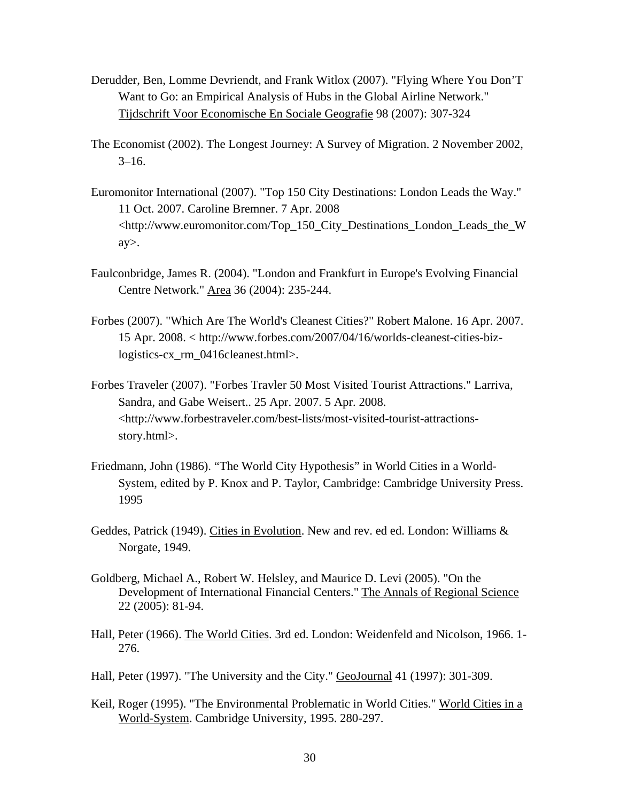- Derudder, Ben, Lomme Devriendt, and Frank Witlox (2007). "Flying Where You Don'T Want to Go: an Empirical Analysis of Hubs in the Global Airline Network." Tijdschrift Voor Economische En Sociale Geografie 98 (2007): 307-324
- The Economist (2002). The Longest Journey: A Survey of Migration. 2 November 2002,  $3-16.$
- Euromonitor International (2007). "Top 150 City Destinations: London Leads the Way." 11 Oct. 2007. Caroline Bremner. 7 Apr. 2008 <http://www.euromonitor.com/Top\_150\_City\_Destinations\_London\_Leads\_the\_W ay>.
- Faulconbridge, James R. (2004). "London and Frankfurt in Europe's Evolving Financial Centre Network." Area 36 (2004): 235-244.
- Forbes (2007). "Which Are The World's Cleanest Cities?" [Robert Malone](javascript:fdcBioWindow(). 16 Apr. 2007. 15 Apr. 2008. < http://www.forbes.com/2007/04/16/worlds-cleanest-cities-bizlogistics-cx\_rm\_0416cleanest.html>.
- Forbes Traveler (2007). "Forbes Travler 50 Most Visited Tourist Attractions." Larriva, Sandra, and Gabe Weisert.. 25 Apr. 2007. 5 Apr. 2008. <http://www.forbestraveler.com/best-lists/most-visited-tourist-attractionsstory.html>.
- Friedmann, John (1986). "The World City Hypothesis" in World Cities in a World-System, edited by P. Knox and P. Taylor, Cambridge: Cambridge University Press. 1995
- Geddes, Patrick (1949). Cities in Evolution. New and rev. ed ed. London: Williams & Norgate, 1949.
- Goldberg, Michael A., Robert W. Helsley, and Maurice D. Levi (2005). "On the Development of International Financial Centers." The Annals of Regional Science 22 (2005): 81-94.
- Hall, Peter (1966). The World Cities. 3rd ed. London: Weidenfeld and Nicolson, 1966. 1- 276.
- Hall, Peter (1997). "The University and the City." GeoJournal 41 (1997): 301-309.
- Keil, Roger (1995). "The Environmental Problematic in World Cities." World Cities in a World-System. Cambridge University, 1995. 280-297.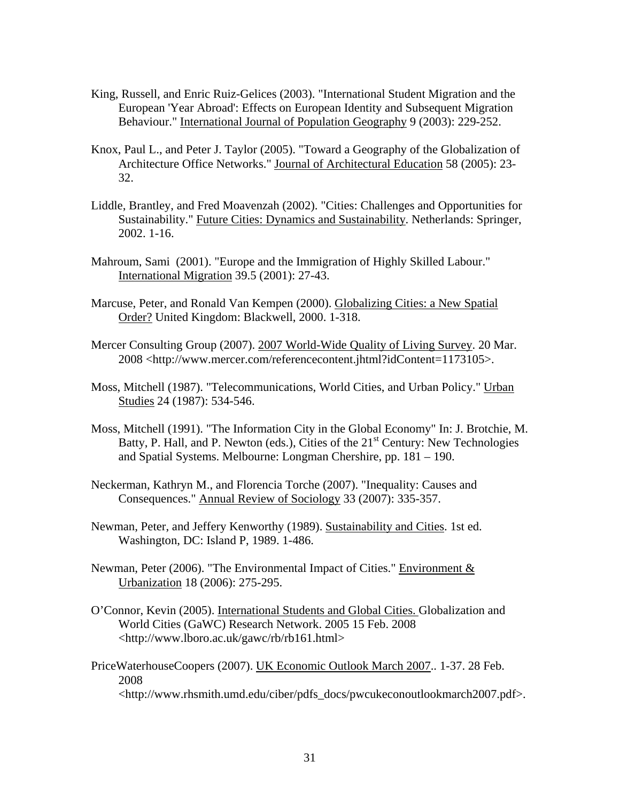- King, Russell, and Enric Ruiz-Gelices (2003). "International Student Migration and the European 'Year Abroad': Effects on European Identity and Subsequent Migration Behaviour." International Journal of Population Geography 9 (2003): 229-252.
- Knox, Paul L., and Peter J. Taylor (2005). "Toward a Geography of the Globalization of Architecture Office Networks." Journal of Architectural Education 58 (2005): 23- 32.
- Liddle, Brantley, and Fred Moavenzah (2002). "Cities: Challenges and Opportunities for Sustainability." Future Cities: Dynamics and Sustainability. Netherlands: Springer, 2002. 1-16.
- Mahroum, Sami (2001). "Europe and the Immigration of Highly Skilled Labour." International Migration 39.5 (2001): 27-43.
- Marcuse, Peter, and Ronald Van Kempen (2000). Globalizing Cities: a New Spatial Order? United Kingdom: Blackwell, 2000. 1-318.
- Mercer Consulting Group (2007). 2007 World-Wide Quality of Living Survey. 20 Mar. 2008 <http://www.mercer.com/referencecontent.jhtml?idContent=1173105>.
- Moss, Mitchell (1987). "Telecommunications, World Cities, and Urban Policy." Urban Studies 24 (1987): 534-546.
- Moss, Mitchell (1991). "The Information City in the Global Economy" In: J. Brotchie, M. Batty, P. Hall, and P. Newton (eds.), Cities of the  $21<sup>st</sup>$  Century: New Technologies and Spatial Systems. Melbourne: Longman Chershire, pp. 181 – 190.
- Neckerman, Kathryn M., and Florencia Torche (2007). "Inequality: Causes and Consequences." Annual Review of Sociology 33 (2007): 335-357.
- Newman, Peter, and Jeffery Kenworthy (1989). Sustainability and Cities. 1st ed. Washington, DC: Island P, 1989. 1-486.
- Newman, Peter (2006). "The Environmental Impact of Cities." Environment  $\&$ Urbanization 18 (2006): 275-295.
- O'Connor, Kevin (2005). International Students and Global Cities. Globalization and World Cities (GaWC) Research Network. 2005 15 Feb. 2008 <http://www.lboro.ac.uk/gawc/rb/rb161.html>
- PriceWaterhouseCoopers (2007). UK Economic Outlook March 2007.. 1-37. 28 Feb. 2008 <http://www.rhsmith.umd.edu/ciber/pdfs\_docs/pwcukeconoutlookmarch2007.pdf>.